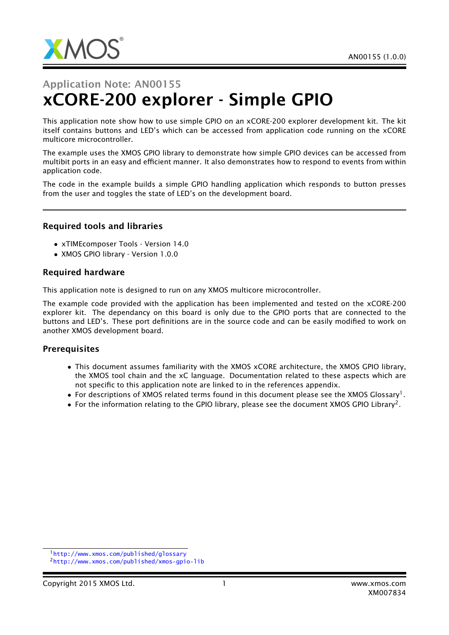

# Application Note: AN00155 xCORE-200 explorer - Simple GPIO

This application note show how to use simple GPIO on an xCORE-200 explorer development kit. The kit itself contains buttons and LED's which can be accessed from application code running on the xCORE multicore microcontroller.

The example uses the XMOS GPIO library to demonstrate how simple GPIO devices can be accessed from multibit ports in an easy and efficient manner. It also demonstrates how to respond to events from within application code.

The code in the example builds a simple GPIO handling application which responds to button presses from the user and toggles the state of LED's on the development board.

#### Required tools and libraries

- xTIMEcomposer Tools Version 14.0
- XMOS GPIO library Version 1.0.0

#### Required hardware

This application note is designed to run on any XMOS multicore microcontroller.

The example code provided with the application has been implemented and tested on the xCORE-200 explorer kit. The dependancy on this board is only due to the GPIO ports that are connected to the buttons and LED's. These port definitions are in the source code and can be easily modified to work on another XMOS development board.

#### **Prerequisites**

- This document assumes familiarity with the XMOS xCORE architecture, the XMOS GPIO library, the XMOS tool chain and the xC language. Documentation related to these aspects which are not specific to this application note are linked to in the references appendix.
- $\bullet$  For descriptions of XMOS related terms found in this document please see the XMOS Glossary<sup>1</sup>.
- $\bullet$  For the information relating to the GPIO library, please see the document XMOS GPIO Library<sup>2</sup>.

<sup>1</sup><http://www.xmos.com/published/glossary>

<sup>2</sup><http://www.xmos.com/published/xmos-gpio-lib>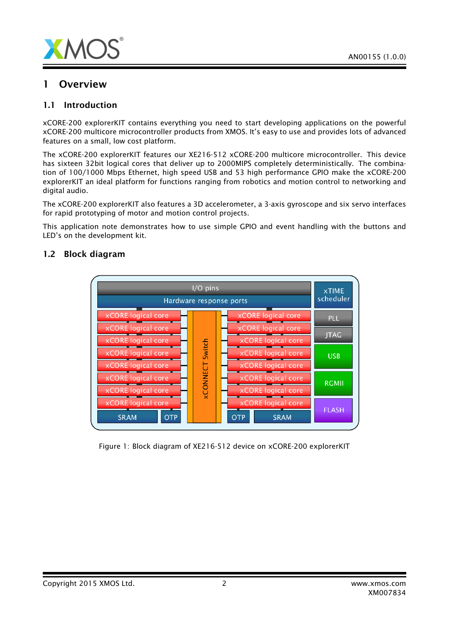

## 1 Overview

## 1.1 Introduction

xCORE-200 explorerKIT contains everything you need to start developing applications on the powerful xCORE-200 multicore microcontroller products from XMOS. It's easy to use and provides lots of advanced features on a small, low cost platform.

The xCORE-200 explorerKIT features our XE216-512 xCORE-200 multicore microcontroller. This device has sixteen 32bit logical cores that deliver up to 2000MIPS completely deterministically. The combination of 100/1000 Mbps Ethernet, high speed USB and 53 high performance GPIO make the xCORE-200 explorerKIT an ideal platform for functions ranging from robotics and motion control to networking and digital audio.

The xCORE-200 explorerKIT also features a 3D accelerometer, a 3-axis gyroscope and six servo interfaces for rapid prototyping of motor and motion control projects.

This application note demonstrates how to use simple GPIO and event handling with the buttons and LED's on the development kit.



## 1.2 Block diagram

Figure 1: Block diagram of XE216-512 device on xCORE-200 explorerKIT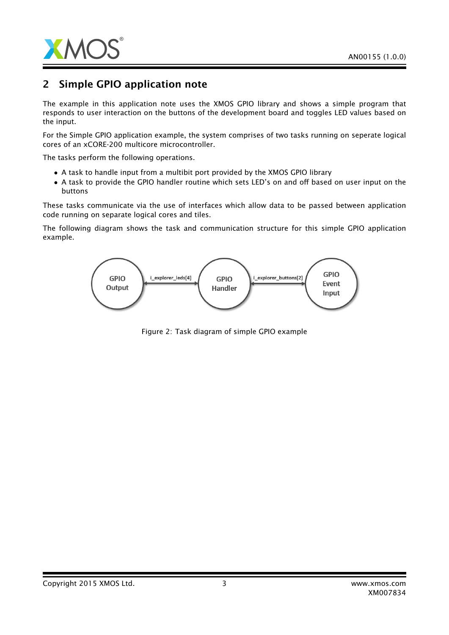

# 2 Simple GPIO application note

The example in this application note uses the XMOS GPIO library and shows a simple program that responds to user interaction on the buttons of the development board and toggles LED values based on the input.

For the Simple GPIO application example, the system comprises of two tasks running on seperate logical cores of an xCORE-200 multicore microcontroller.

The tasks perform the following operations.

- A task to handle input from a multibit port provided by the XMOS GPIO library
- A task to provide the GPIO handler routine which sets LED's on and off based on user input on the buttons

These tasks communicate via the use of interfaces which allow data to be passed between application code running on separate logical cores and tiles.

The following diagram shows the task and communication structure for this simple GPIO application example.



Figure 2: Task diagram of simple GPIO example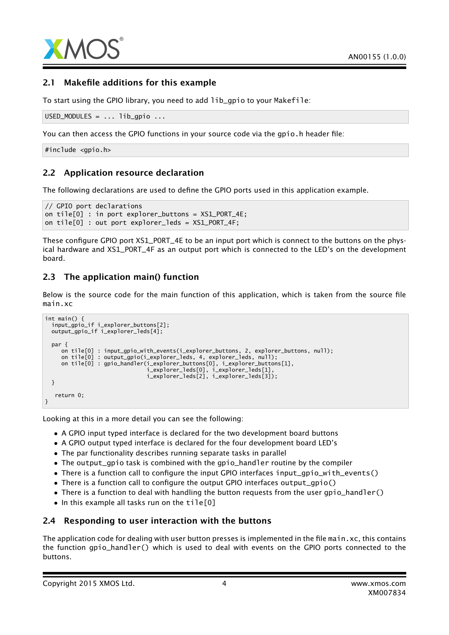

## 2.1 Makefile additions for this example

To start using the GPIO library, you need to add lib\_gpio to your Makefile:

```
USED_MODULES = ... lib_gpio ...
```
You can then access the GPIO functions in your source code via the gpio.h header file:

#include <gpio.h>

## 2.2 Application resource declaration

The following declarations are used to define the GPIO ports used in this application example.

```
// GPIO port declarations
on tile[0] : in port explorer_buttons = XS1_PORT_4E;
on tile[0] : out port explorer_leds = XS1_PORT_4F;
```
These configure GPIO port XS1\_PORT\_4E to be an input port which is connect to the buttons on the physical hardware and XS1\_PORT\_4F as an output port which is connected to the LED's on the development board.

## 2.3 The application main() function

Below is the source code for the main function of this application, which is taken from the source file main.xc

```
int main() {
  input_gpio_if i_explorer_buttons[2];
 output_gpio_if i_explorer_leds[4];
 par {
    on tile[0] : input_gpio_with_events(i_explorer_buttons, 2, explorer_buttons, null);
     on tile[0] : output_gpio(i_explorer_leds, 4, explorer_leds, null);
     on tile[0] : gpio_handler(i_explorer_buttons[0], i_explorer_buttons[1],
                               i_explorer_leds[0], i_explorer_leds[1],
                               i_explorer_leds[2], i_explorer_leds[3]);
 }
   return 0;
}
```
Looking at this in a more detail you can see the following:

- A GPIO input typed interface is declared for the two development board buttons
- A GPIO output typed interface is declared for the four development board LED's
- The par functionality describes running separate tasks in parallel
- The output\_gpio task is combined with the gpio\_handler routine by the compiler
- There is a function call to configure the input GPIO interfaces input\_gpio\_with\_events()
- There is a function call to configure the output GPIO interfaces output\_gpio()
- There is a function to deal with handling the button requests from the user gpio\_handler()
- In this example all tasks run on the tile[0]

## 2.4 Responding to user interaction with the buttons

The application code for dealing with user button presses is implemented in the file main. $xc$ , this contains the function gpio\_handler() which is used to deal with events on the GPIO ports connected to the buttons.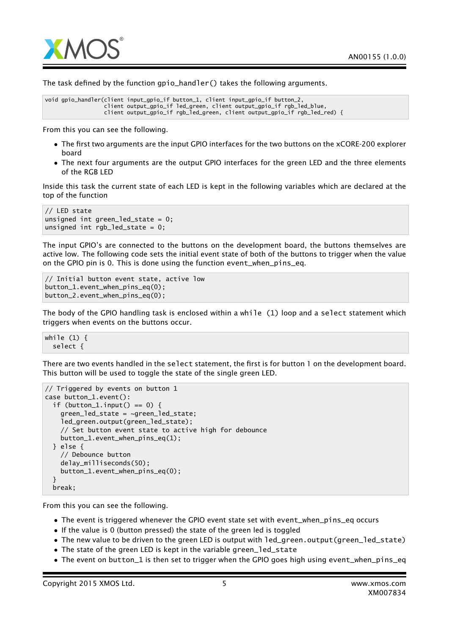

The task defined by the function gpio\_handler() takes the following arguments.

```
void gpio_handler(client input_gpio_if button_1, client input_gpio_if button_2,
                  client output_gpio_if led_green, client output_gpio_if rgb_led_blue,
                 client output_gpio_if rgb_led_green, client output_gpio_if rgb_led_red) {
```
From this you can see the following.

- The first two arguments are the input GPIO interfaces for the two buttons on the xCORE-200 explorer board
- The next four arguments are the output GPIO interfaces for the green LED and the three elements of the RGB LED

Inside this task the current state of each LED is kept in the following variables which are declared at the top of the function

```
// LED state
unsigned int green_led_state = 0;
unsigned int rgb led_state = 0;
```
The input GPIO's are connected to the buttons on the development board, the buttons themselves are active low. The following code sets the initial event state of both of the buttons to trigger when the value on the GPIO pin is 0. This is done using the function event\_when\_pins\_eq.

```
// Initial button event state, active low
button_1.event_when_pins_eq(0);
button_2.event_when_pins_eq(0);
```
The body of the GPIO handling task is enclosed within a while (1) loop and a select statement which triggers when events on the buttons occur.

while (1) { select {

There are two events handled in the select statement, the first is for button 1 on the development board. This button will be used to toggle the state of the single green LED.

```
// Triggered by events on button 1
case button_1.event():
 if (button_1.input() == 0) {
    green_led_state = ~green_led_state;
    led_green.output(green_led_state);
    // Set button event state to active high for debounce
    button_1.event_when_pins_eq(1);
 } else {
    // Debounce button
    delay_milliseconds(50);
    button_1.event_when_pins_eq(0);
 }
 break;
```
From this you can see the following.

- The event is triggered whenever the GPIO event state set with event\_when\_pins\_eq occurs
- If the value is 0 (button pressed) the state of the green led is toggled
- The new value to be driven to the green LED is output with 1ed\_green.output(green\_led\_state)
- The state of the green LED is kept in the variable green\_led\_state
- The event on button\_1 is then set to trigger when the GPIO goes high using event\_when\_pins\_eq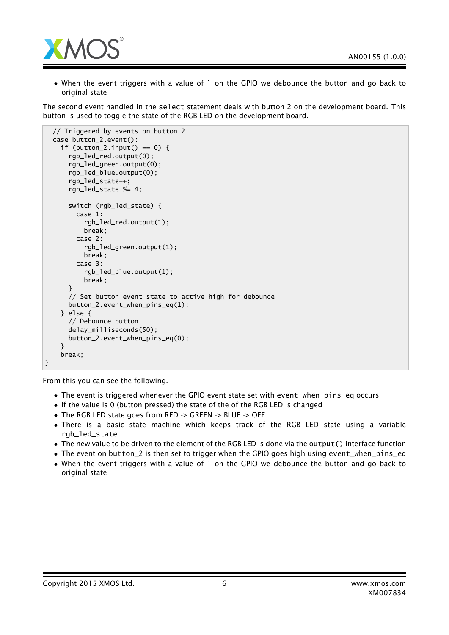

• When the event triggers with a value of 1 on the GPIO we debounce the button and go back to original state

The second event handled in the select statement deals with button 2 on the development board. This button is used to toggle the state of the RGB LED on the development board.

```
// Triggered by events on button 2
 case button_2.event():
    if (button_2.input() == 0) {
      rgb_led_red.output(0);
      rgb_led_green.output(0);
      rgb_led_blue.output(0);
      rgb_led_state++;
      rgb_led_state %= 4;
      switch (rgb_led_state) {
        case 1:
          rgb_led_red.output(1);
          break;
        case 2:
          rgb_led_green.output(1);
          break;
        case 3:
          rgb_led_blue.output(1);
          break;
      }
      // Set button event state to active high for debounce
      button_2.event_when_pins_eq(1);
    } else {
      // Debounce button
      delay_milliseconds(50);
      button_2.event_when_pins_eq(0);
    }
    break;
}
```
From this you can see the following.

- The event is triggered whenever the GPIO event state set with event\_when\_pins\_eq occurs
- If the value is 0 (button pressed) the state of the of the RGB LED is changed
- The RGB LED state goes from RED -> GREEN -> BLUE -> OFF
- There is a basic state machine which keeps track of the RGB LED state using a variable rgb led state
- The new value to be driven to the element of the RGB LED is done via the output() interface function
- The event on button\_2 is then set to trigger when the GPIO goes high using event\_when\_pins\_eq
- When the event triggers with a value of 1 on the GPIO we debounce the button and go back to original state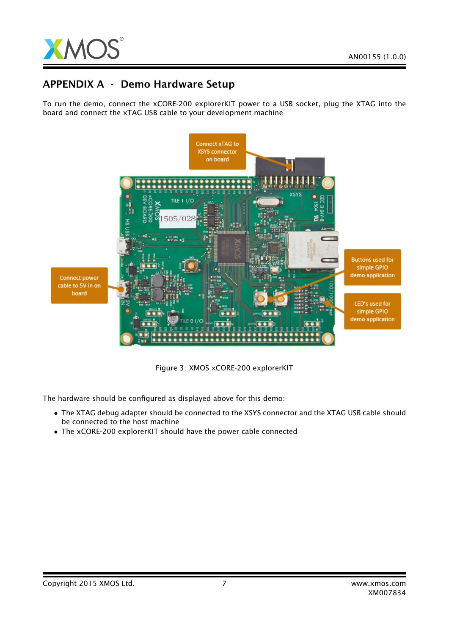

# APPENDIX A - Demo Hardware Setup

To run the demo, connect the xCORE-200 explorerKIT power to a USB socket, plug the XTAG into the board and connect the xTAG USB cable to your development machine



Figure 3: XMOS xCORE-200 explorerKIT

The hardware should be configured as displayed above for this demo:

- The XTAG debug adapter should be connected to the XSYS connector and the XTAG USB cable should be connected to the host machine
- The xCORE-200 explorerKIT should have the power cable connected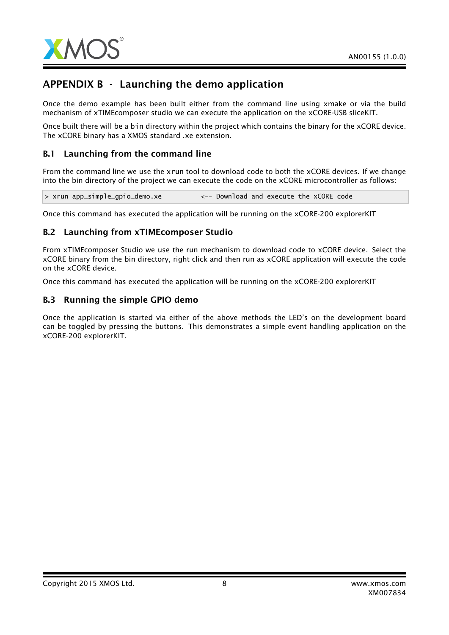

# APPENDIX B - Launching the demo application

Once the demo example has been built either from the command line using xmake or via the build mechanism of xTIMEcomposer studio we can execute the application on the xCORE-USB sliceKIT.

Once built there will be a bin directory within the project which contains the binary for the xCORE device. The xCORE binary has a XMOS standard .xe extension.

## B.1 Launching from the command line

From the command line we use the xrun tool to download code to both the xCORE devices. If we change into the bin directory of the project we can execute the code on the xCORE microcontroller as follows:

> xrun app\_simple\_gpio\_demo.xe <-- Download and execute the xCORE code

Once this command has executed the application will be running on the xCORE-200 explorerKIT

#### B.2 Launching from xTIMEcomposer Studio

From xTIMEcomposer Studio we use the run mechanism to download code to xCORE device. Select the xCORE binary from the bin directory, right click and then run as xCORE application will execute the code on the xCORE device.

Once this command has executed the application will be running on the xCORE-200 explorerKIT

#### B.3 Running the simple GPIO demo

Once the application is started via either of the above methods the LED's on the development board can be toggled by pressing the buttons. This demonstrates a simple event handling application on the xCORE-200 explorerKIT.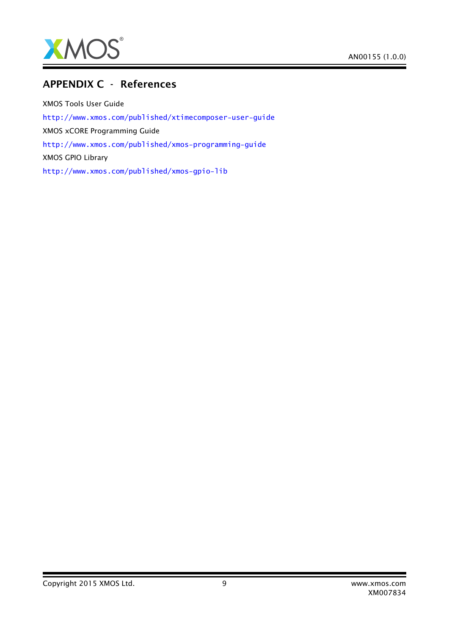

# APPENDIX C - References

XMOS Tools User Guide <http://www.xmos.com/published/xtimecomposer-user-guide> XMOS xCORE Programming Guide <http://www.xmos.com/published/xmos-programming-guide> XMOS GPIO Library <http://www.xmos.com/published/xmos-gpio-lib>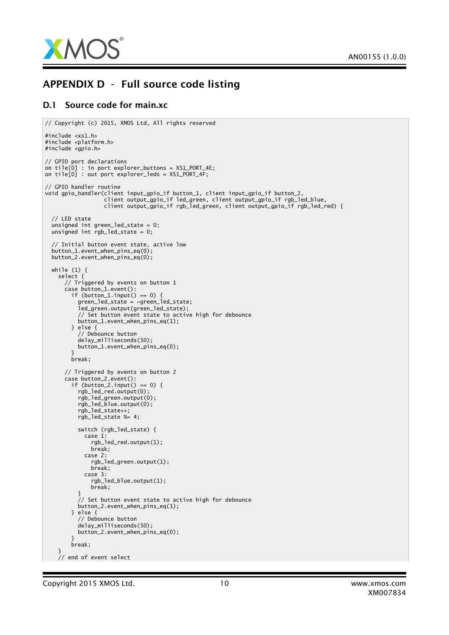

# APPENDIX D - Full source code listing

#### D.1 Source code for main.xc

```
// Copyright (c) 2015, XMOS Ltd, All rights reserved
#include <xs1.h>
#include <platform.h>
#include <gpio.h>
// GPIO port declarations
on tile[0] : in port explorer_buttons = XS1_PORT_4E;
on tile[0] : out port explorer_leds = XS1_PORT_4F;
// GPIO handler routine
void gpio_handler(client input_gpio_if button_1, client input_gpio_if button_2,
                   client output_gpio_if led_green, client output_gpio_if rgb_led_blue,
                   client output_gpio_if rgb_led_green, client output_gpio_if rgb_led_red) {
  // LED state
  unsigned int green_led_state = 0;
  unsigned int rgb_led_state = 0;
  // Initial button event state, active low
  button_1.event_when_pins_eq(0);
  button_2.event_when_pins_eq(0);
  while (1) {
    select {
      // Triggered by events on button 1
      case button_1.event():
        if (button_1.input() == 0) {
          green_led_state = ~green_led_state;
          led_green.output(green_led_state);
          // Set button event state to active high for debounce
          button_1.event_when_pins_eq(1);
        } else {
          // Debounce button
          delay_milliseconds(50);
          button_1.event_when_pins_eq(0);
        }
        break;
      // Triggered by events on button 2
      case button_2.event():
        if (button_2.input() == 0) {
          rgb_led_red.output(0);
          rgb_led_green.output(0);
          rgb_led_blue.output(0);
          rgb_led_state++;
          rgb_led_state %= 4;
          switch (rgb_led_state) {
            case 1:
              rgb_led_red.output(1);
              break;
            case 2:
              rgb_led_green.output(1);
              break:case 3:
              rgb_led_blue.output(1);
              break;
          }
          // Set button event state to active high for debounce
          button_2.event_when_pins_eq(1);
        } else {
          // Debounce button
          delay_milliseconds(50);
          button_2.event_when_pins_eq(0);
        }
        break;
    }
    // end of event select
```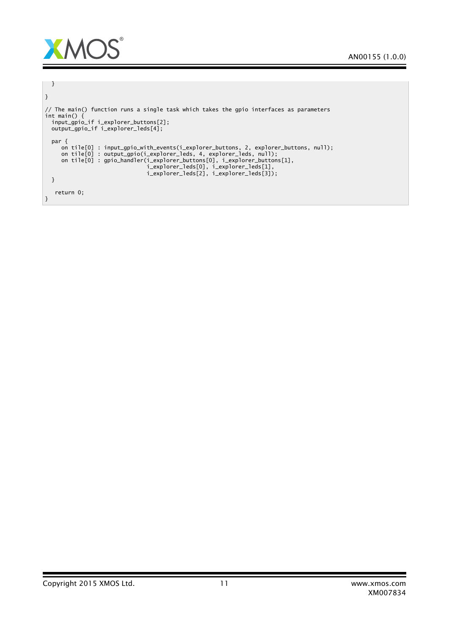

```
}
}
// The main() function runs a single task which takes the gpio interfaces as parameters
int main() {
  input_gpio_if i_explorer_buttons[2];
  output_gpio_if i_explorer_leds[4];
 par {
     on tile[0] : input_gpio_with_events(i_explorer_buttons, 2, explorer_buttons, null);
     on tile[0] : output_gpio(i_explorer_leds, 4, explorer_leds, null);
     on tile[0] : gpio_handler(i_explorer_buttons[0], i_explorer_buttons[1],
                                i_explorer_leds[0], i_explorer_leds[1],
                                i_explorer_leds[2], i_explorer_leds[3]);
 }
  return 0;
}
```